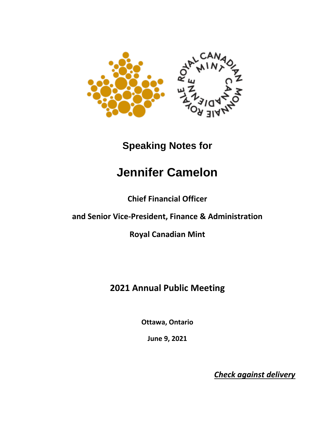

## **Speaking Notes for**

## **Jennifer Camelon**

**Chief Financial Officer**

## **and Senior Vice-President, Finance & Administration**

**Royal Canadian Mint**

## **2021 Annual Public Meeting**

**Ottawa, Ontario**

**June 9, 2021**

*Check against delivery*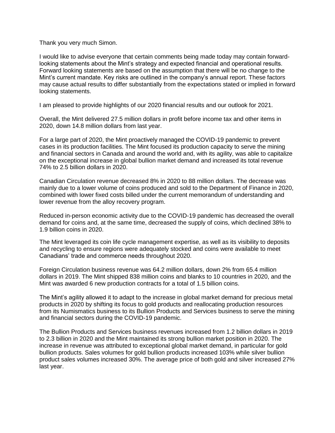Thank you very much Simon.

I would like to advise everyone that certain comments being made today may contain forwardlooking statements about the Mint's strategy and expected financial and operational results. Forward looking statements are based on the assumption that there will be no change to the Mint's current mandate. Key risks are outlined in the company's annual report. These factors may cause actual results to differ substantially from the expectations stated or implied in forward looking statements.

I am pleased to provide highlights of our 2020 financial results and our outlook for 2021.

Overall, the Mint delivered 27.5 million dollars in profit before income tax and other items in 2020, down 14.8 million dollars from last year.

For a large part of 2020, the Mint proactively managed the COVID-19 pandemic to prevent cases in its production facilities. The Mint focused its production capacity to serve the mining and financial sectors in Canada and around the world and, with its agility, was able to capitalize on the exceptional increase in global bullion market demand and increased its total revenue 74% to 2.5 billion dollars in 2020.

Canadian Circulation revenue decreased 8% in 2020 to 88 million dollars. The decrease was mainly due to a lower volume of coins produced and sold to the Department of Finance in 2020, combined with lower fixed costs billed under the current memorandum of understanding and lower revenue from the alloy recovery program.

Reduced in-person economic activity due to the COVID-19 pandemic has decreased the overall demand for coins and, at the same time, decreased the supply of coins, which declined 38% to 1.9 billion coins in 2020.

The Mint leveraged its coin life cycle management expertise, as well as its visibility to deposits and recycling to ensure regions were adequately stocked and coins were available to meet Canadians' trade and commerce needs throughout 2020.

Foreign Circulation business revenue was 64.2 million dollars, down 2% from 65.4 million dollars in 2019. The Mint shipped 838 million coins and blanks to 10 countries in 2020, and the Mint was awarded 6 new production contracts for a total of 1.5 billion coins.

The Mint's agility allowed it to adapt to the increase in global market demand for precious metal products in 2020 by shifting its focus to gold products and reallocating production resources from its Numismatics business to its Bullion Products and Services business to serve the mining and financial sectors during the COVID-19 pandemic.

The Bullion Products and Services business revenues increased from 1.2 billion dollars in 2019 to 2.3 billion in 2020 and the Mint maintained its strong bullion market position in 2020. The increase in revenue was attributed to exceptional global market demand, in particular for gold bullion products. Sales volumes for gold bullion products increased 103% while silver bullion product sales volumes increased 30%. The average price of both gold and silver increased 27% last year.